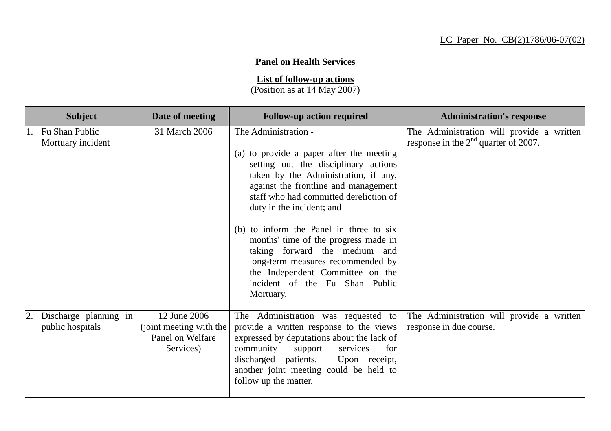## **Panel on Health Services**

**List of follow-up actions**

(Position as at 14 May 2007)

| <b>Subject</b>                            | Date of meeting                                                          | <b>Follow-up action required</b>                                                                                                                                                                                                                                                                                                                                                                                                                                                                            | <b>Administration's response</b>                                                    |
|-------------------------------------------|--------------------------------------------------------------------------|-------------------------------------------------------------------------------------------------------------------------------------------------------------------------------------------------------------------------------------------------------------------------------------------------------------------------------------------------------------------------------------------------------------------------------------------------------------------------------------------------------------|-------------------------------------------------------------------------------------|
| Fu Shan Public<br>Mortuary incident       | 31 March 2006                                                            | The Administration -<br>(a) to provide a paper after the meeting<br>setting out the disciplinary actions<br>taken by the Administration, if any,<br>against the frontline and management<br>staff who had committed dereliction of<br>duty in the incident; and<br>(b) to inform the Panel in three to six<br>months' time of the progress made in<br>taking forward the medium and<br>long-term measures recommended by<br>the Independent Committee on the<br>incident of the Fu Shan Public<br>Mortuary. | The Administration will provide a written<br>response in the $2nd$ quarter of 2007. |
| Discharge planning in<br>public hospitals | 12 June 2006<br>(joint meeting with the<br>Panel on Welfare<br>Services) | The Administration was requested to<br>provide a written response to the views<br>expressed by deputations about the lack of<br>community<br>for<br>support<br>services<br>discharged patients.<br>Upon receipt,<br>another joint meeting could be held to<br>follow up the matter.                                                                                                                                                                                                                         | The Administration will provide a written<br>response in due course.                |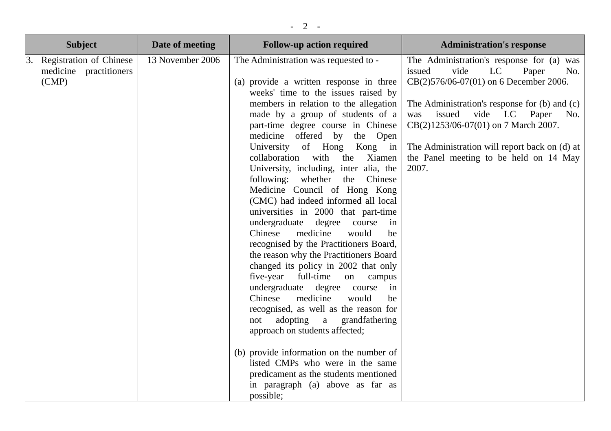| <b>Subject</b>                                                          | Date of meeting  | <b>Follow-up action required</b>                                                                                                                                                                                                                                                                                                                                                                                                                                                                                                                                                                                                                                                                                                                                                                                                                                                                                                                                                                                                                                                                                                                                                             | <b>Administration's response</b>                                                                                                                                                                                                                                                                                                                                        |
|-------------------------------------------------------------------------|------------------|----------------------------------------------------------------------------------------------------------------------------------------------------------------------------------------------------------------------------------------------------------------------------------------------------------------------------------------------------------------------------------------------------------------------------------------------------------------------------------------------------------------------------------------------------------------------------------------------------------------------------------------------------------------------------------------------------------------------------------------------------------------------------------------------------------------------------------------------------------------------------------------------------------------------------------------------------------------------------------------------------------------------------------------------------------------------------------------------------------------------------------------------------------------------------------------------|-------------------------------------------------------------------------------------------------------------------------------------------------------------------------------------------------------------------------------------------------------------------------------------------------------------------------------------------------------------------------|
| <b>Registration of Chinese</b><br>3.<br>medicine practitioners<br>(CMP) | 13 November 2006 | The Administration was requested to -<br>(a) provide a written response in three<br>weeks' time to the issues raised by<br>members in relation to the allegation<br>made by a group of students of a<br>part-time degree course in Chinese<br>medicine offered by the Open<br>University of Hong<br>Kong in<br>collaboration<br>with<br>the<br>Xiamen<br>University, including, inter alia, the<br>following: whether the Chinese<br>Medicine Council of Hong Kong<br>(CMC) had indeed informed all local<br>universities in 2000 that part-time<br>undergraduate<br>degree<br>course<br>in<br>Chinese<br>medicine<br>would<br>be<br>recognised by the Practitioners Board,<br>the reason why the Practitioners Board<br>changed its policy in 2002 that only<br>five-year<br>full-time<br>on<br>campus<br>undergraduate degree course<br>in<br>Chinese<br>medicine<br>would<br>be<br>recognised, as well as the reason for<br>adopting<br>$\mathbf{a}$<br>grandfathering<br>not<br>approach on students affected;<br>(b) provide information on the number of<br>listed CMPs who were in the same<br>predicament as the students mentioned<br>in paragraph (a) above as far as<br>possible; | The Administration's response for (a) was<br>issued<br>vide<br>LC<br>Paper<br>No.<br>CB(2)576/06-07(01) on 6 December 2006.<br>The Administration's response for (b) and (c)<br>vide<br>LC<br>issued<br>Paper<br>No.<br>was<br>CB(2)1253/06-07(01) on 7 March 2007.<br>The Administration will report back on (d) at<br>the Panel meeting to be held on 14 May<br>2007. |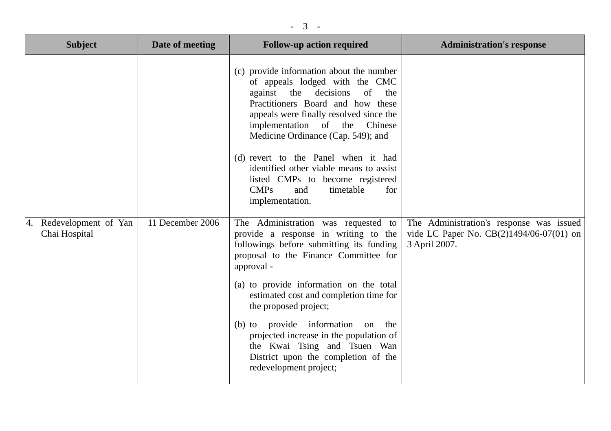| <b>Subject</b>                              | Date of meeting  | <b>Follow-up action required</b>                                                                                                                                                                                                                                                                                                                                                                                                                                                 | <b>Administration's response</b>                                                                        |
|---------------------------------------------|------------------|----------------------------------------------------------------------------------------------------------------------------------------------------------------------------------------------------------------------------------------------------------------------------------------------------------------------------------------------------------------------------------------------------------------------------------------------------------------------------------|---------------------------------------------------------------------------------------------------------|
|                                             |                  | (c) provide information about the number<br>of appeals lodged with the CMC<br>against the decisions<br>of<br>the<br>Practitioners Board and how these<br>appeals were finally resolved since the<br>implementation of the Chinese<br>Medicine Ordinance (Cap. 549); and<br>(d) revert to the Panel when it had<br>identified other viable means to assist<br>listed CMPs to become registered<br>CMPs<br>timetable<br>and<br>for<br>implementation.                              |                                                                                                         |
| Redevelopment of Yan<br>4.<br>Chai Hospital | 11 December 2006 | The Administration was requested to<br>provide a response in writing to the<br>followings before submitting its funding<br>proposal to the Finance Committee for<br>approval -<br>(a) to provide information on the total<br>estimated cost and completion time for<br>the proposed project;<br>(b) to provide information<br>on the<br>projected increase in the population of<br>the Kwai Tsing and Tsuen Wan<br>District upon the completion of the<br>redevelopment project; | The Administration's response was issued<br>vide LC Paper No. $CB(2)1494/06-07(01)$ on<br>3 April 2007. |

- 3 -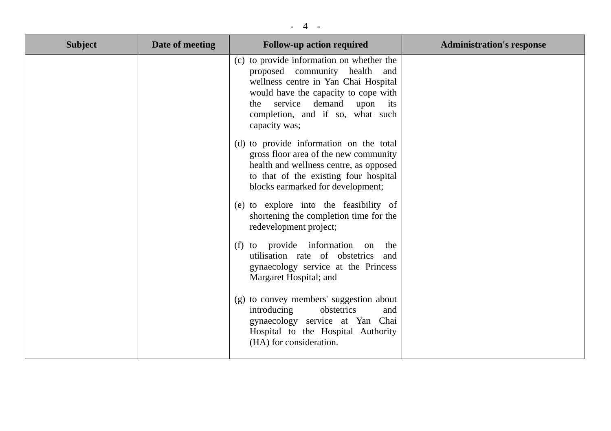## - 4 -

| <b>Subject</b> | Date of meeting | <b>Follow-up action required</b>                                                                                                                                                                                                                  | <b>Administration's response</b> |
|----------------|-----------------|---------------------------------------------------------------------------------------------------------------------------------------------------------------------------------------------------------------------------------------------------|----------------------------------|
|                |                 | (c) to provide information on whether the<br>proposed community health and<br>wellness centre in Yan Chai Hospital<br>would have the capacity to cope with<br>service demand upon its<br>the<br>completion, and if so, what such<br>capacity was; |                                  |
|                |                 | (d) to provide information on the total<br>gross floor area of the new community<br>health and wellness centre, as opposed<br>to that of the existing four hospital<br>blocks earmarked for development;                                          |                                  |
|                |                 | (e) to explore into the feasibility of<br>shortening the completion time for the<br>redevelopment project;                                                                                                                                        |                                  |
|                |                 | (f) to provide information on<br>the<br>utilisation rate of obstetrics<br>and<br>gynaecology service at the Princess<br>Margaret Hospital; and                                                                                                    |                                  |
|                |                 | (g) to convey members' suggestion about<br>introducing<br>obstetrics<br>and<br>gynaecology service at Yan Chai<br>Hospital to the Hospital Authority<br>(HA) for consideration.                                                                   |                                  |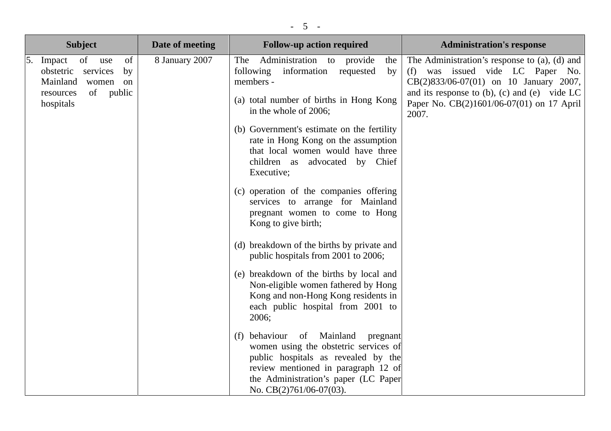| <b>Subject</b>                                                                                                                | Date of meeting | <b>Follow-up action required</b>                                                                                                                                                                                                                                                                                                                                                                                                                                                             | <b>Administration's response</b>                                                                                                                                                                                                         |
|-------------------------------------------------------------------------------------------------------------------------------|-----------------|----------------------------------------------------------------------------------------------------------------------------------------------------------------------------------------------------------------------------------------------------------------------------------------------------------------------------------------------------------------------------------------------------------------------------------------------------------------------------------------------|------------------------------------------------------------------------------------------------------------------------------------------------------------------------------------------------------------------------------------------|
| 5.<br>of<br>of<br>Impact<br>use<br>obstetric services<br>by<br>Mainland<br>women<br>on<br>of public<br>resources<br>hospitals | 8 January 2007  | Administration to provide<br>The<br>the<br>following information<br>requested<br>by<br>members -<br>(a) total number of births in Hong Kong<br>in the whole of 2006;<br>(b) Government's estimate on the fertility<br>rate in Hong Kong on the assumption<br>that local women would have three<br>children as advocated by Chief<br>Executive;<br>(c) operation of the companies offering<br>services to arrange for Mainland<br>pregnant women to come to Hong<br>Kong to give birth;       | The Administration's response to (a), (d) and<br>(f) was issued vide LC Paper No.<br>CB(2)833/06-07(01) on 10 January 2007,<br>and its response to $(b)$ , $(c)$ and $(e)$ vide LC<br>Paper No. CB(2)1601/06-07(01) on 17 April<br>2007. |
|                                                                                                                               |                 | (d) breakdown of the births by private and<br>public hospitals from 2001 to 2006;<br>(e) breakdown of the births by local and<br>Non-eligible women fathered by Hong<br>Kong and non-Hong Kong residents in<br>each public hospital from 2001 to<br>2006;<br>(f) behaviour of Mainland<br>pregnant<br>women using the obstetric services of<br>public hospitals as revealed by the<br>review mentioned in paragraph 12 of<br>the Administration's paper (LC Paper<br>No. CB(2)761/06-07(03). |                                                                                                                                                                                                                                          |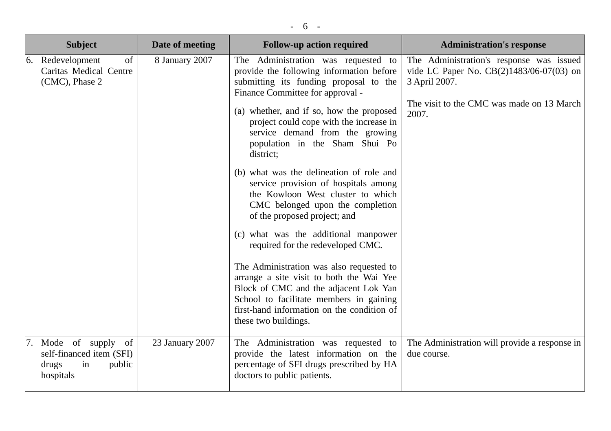| <b>Subject</b>                                                                         | Date of meeting | <b>Follow-up action required</b>                                                                                                                                                                                                                                                                                                                                                                                                                                                                                                                                                                                                                                                                                                                                                                                                                                      | <b>Administration's response</b>                                                                                                                            |
|----------------------------------------------------------------------------------------|-----------------|-----------------------------------------------------------------------------------------------------------------------------------------------------------------------------------------------------------------------------------------------------------------------------------------------------------------------------------------------------------------------------------------------------------------------------------------------------------------------------------------------------------------------------------------------------------------------------------------------------------------------------------------------------------------------------------------------------------------------------------------------------------------------------------------------------------------------------------------------------------------------|-------------------------------------------------------------------------------------------------------------------------------------------------------------|
| of<br>6. Redevelopment<br>Caritas Medical Centre<br>(CMC), Phase 2                     | 8 January 2007  | The Administration was requested<br>to<br>provide the following information before<br>submitting its funding proposal to the<br>Finance Committee for approval -<br>(a) whether, and if so, how the proposed<br>project could cope with the increase in<br>service demand from the growing<br>population in the Sham Shui Po<br>district;<br>(b) what was the delineation of role and<br>service provision of hospitals among<br>the Kowloon West cluster to which<br>CMC belonged upon the completion<br>of the proposed project; and<br>(c) what was the additional manpower<br>required for the redeveloped CMC.<br>The Administration was also requested to<br>arrange a site visit to both the Wai Yee<br>Block of CMC and the adjacent Lok Yan<br>School to facilitate members in gaining<br>first-hand information on the condition of<br>these two buildings. | The Administration's response was issued<br>vide LC Paper No. CB(2)1483/06-07(03) on<br>3 April 2007.<br>The visit to the CMC was made on 13 March<br>2007. |
| 7. Mode of supply of<br>self-financed item (SFI)<br>in<br>public<br>drugs<br>hospitals | 23 January 2007 | The Administration was requested to<br>provide the latest information on the<br>percentage of SFI drugs prescribed by HA<br>doctors to public patients.                                                                                                                                                                                                                                                                                                                                                                                                                                                                                                                                                                                                                                                                                                               | The Administration will provide a response in<br>due course.                                                                                                |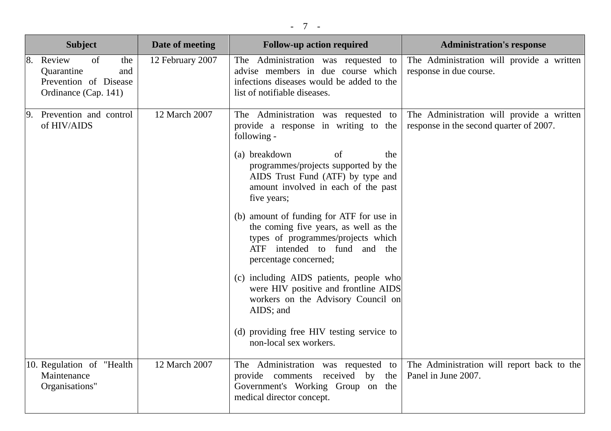| <b>Subject</b>                                                                               | Date of meeting  | <b>Follow-up action required</b>                                                                                                                                                                                                                                                                                                                                                                                                                                                                                                                                                                                                                             | <b>Administration's response</b>                                                     |
|----------------------------------------------------------------------------------------------|------------------|--------------------------------------------------------------------------------------------------------------------------------------------------------------------------------------------------------------------------------------------------------------------------------------------------------------------------------------------------------------------------------------------------------------------------------------------------------------------------------------------------------------------------------------------------------------------------------------------------------------------------------------------------------------|--------------------------------------------------------------------------------------|
| 8. Review<br>of<br>the<br>Quarantine<br>and<br>Prevention of Disease<br>Ordinance (Cap. 141) | 12 February 2007 | The Administration was requested to<br>advise members in due course which<br>infections diseases would be added to the<br>list of notifiable diseases.                                                                                                                                                                                                                                                                                                                                                                                                                                                                                                       | The Administration will provide a written<br>response in due course.                 |
| 9. Prevention and control<br>of HIV/AIDS                                                     | 12 March 2007    | The Administration was requested to<br>provide a response in writing to the<br>following -<br>(a) breakdown<br>of<br>the<br>programmes/projects supported by the<br>AIDS Trust Fund (ATF) by type and<br>amount involved in each of the past<br>five years;<br>(b) amount of funding for ATF for use in<br>the coming five years, as well as the<br>types of programmes/projects which<br>ATF intended to fund and the<br>percentage concerned;<br>(c) including AIDS patients, people who<br>were HIV positive and frontline AIDS<br>workers on the Advisory Council on<br>AIDS; and<br>(d) providing free HIV testing service to<br>non-local sex workers. | The Administration will provide a written<br>response in the second quarter of 2007. |
| 10. Regulation of "Health<br>Maintenance<br>Organisations"                                   | 12 March 2007    | The Administration was requested to<br>provide comments<br>received by<br>the<br>Government's Working Group on the<br>medical director concept.                                                                                                                                                                                                                                                                                                                                                                                                                                                                                                              | The Administration will report back to the<br>Panel in June 2007.                    |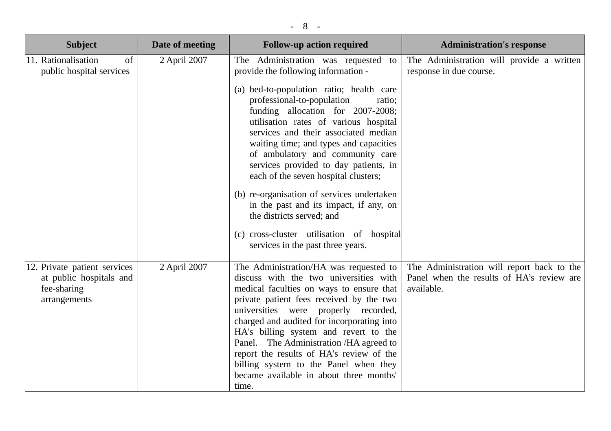| <b>Subject</b>                                                                         | Date of meeting | <b>Follow-up action required</b>                                                                                                                                                                                                                                                                                                                                                                                                                                                                                                                                                                                                                              | <b>Administration's response</b>                                                                      |
|----------------------------------------------------------------------------------------|-----------------|---------------------------------------------------------------------------------------------------------------------------------------------------------------------------------------------------------------------------------------------------------------------------------------------------------------------------------------------------------------------------------------------------------------------------------------------------------------------------------------------------------------------------------------------------------------------------------------------------------------------------------------------------------------|-------------------------------------------------------------------------------------------------------|
| 11. Rationalisation<br>of<br>public hospital services                                  | 2 April 2007    | The Administration was requested<br>to<br>provide the following information -<br>(a) bed-to-population ratio; health care<br>professional-to-population<br>ratio;<br>funding allocation for 2007-2008;<br>utilisation rates of various hospital<br>services and their associated median<br>waiting time; and types and capacities<br>of ambulatory and community care<br>services provided to day patients, in<br>each of the seven hospital clusters;<br>(b) re-organisation of services undertaken<br>in the past and its impact, if any, on<br>the districts served; and<br>(c) cross-cluster utilisation of hospital<br>services in the past three years. | The Administration will provide a written<br>response in due course.                                  |
| 12. Private patient services<br>at public hospitals and<br>fee-sharing<br>arrangements | 2 April 2007    | The Administration/HA was requested to<br>discuss with the two universities with<br>medical faculties on ways to ensure that<br>private patient fees received by the two<br>universities were<br>properly recorded,<br>charged and audited for incorporating into<br>HA's billing system and revert to the<br>Panel. The Administration /HA agreed to<br>report the results of HA's review of the<br>billing system to the Panel when they<br>became available in about three months'<br>time.                                                                                                                                                                | The Administration will report back to the<br>Panel when the results of HA's review are<br>available. |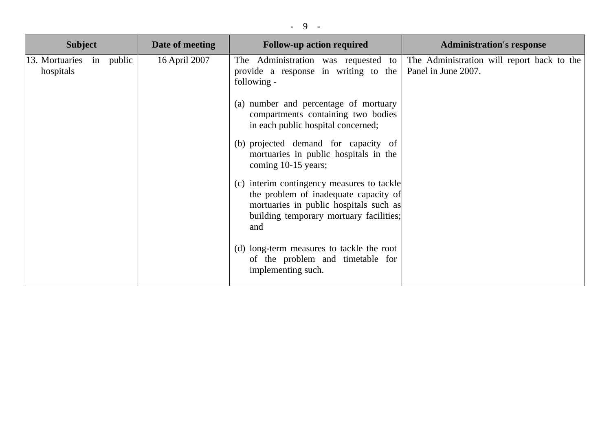| <b>Subject</b>                        | Date of meeting | <b>Follow-up action required</b>                                                                                                                                                | <b>Administration's response</b>                                  |
|---------------------------------------|-----------------|---------------------------------------------------------------------------------------------------------------------------------------------------------------------------------|-------------------------------------------------------------------|
| 13. Mortuaries in public<br>hospitals | 16 April 2007   | The Administration was requested to<br>provide a response in writing to the<br>following -                                                                                      | The Administration will report back to the<br>Panel in June 2007. |
|                                       |                 | (a) number and percentage of mortuary<br>compartments containing two bodies<br>in each public hospital concerned;                                                               |                                                                   |
|                                       |                 | (b) projected demand for capacity of<br>mortuaries in public hospitals in the<br>coming 10-15 years;                                                                            |                                                                   |
|                                       |                 | (c) interim contingency measures to tackle<br>the problem of inadequate capacity of<br>mortuaries in public hospitals such as<br>building temporary mortuary facilities;<br>and |                                                                   |
|                                       |                 | (d) long-term measures to tackle the root<br>of the problem and timetable for<br>implementing such.                                                                             |                                                                   |